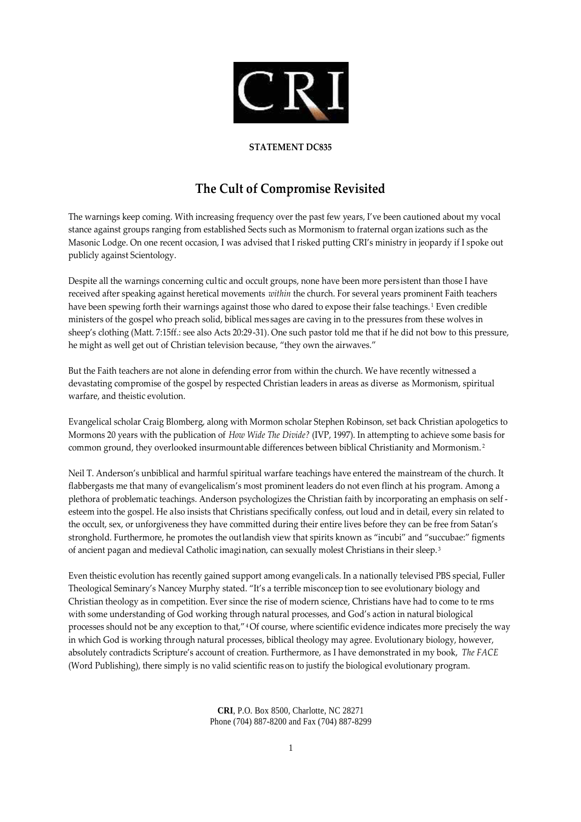

## **STATEMENT DC835**

## **The Cult of Compromise Revisited**

The warnings keep coming. With increasing frequency over the past few years, I've been cautioned about my vocal stance against groups ranging from established Sects such as Mormonism to fraternal organ izations such as the Masonic Lodge. On one recent occasion, I was advised that I risked putting CRI's ministry in jeopardy if I spoke out publicly against Scientology.

Despite all the warnings concerning cultic and occult groups, none have been more pers istent than those I have received after speaking against heretical movements *within* the church. For several years prominent Faith teachers have been spewing forth their warnings against those who dared to expose their false teachings.<sup>1</sup> Even credible ministers of the gospel who preach solid, biblical mes sages are caving in to the pressures from these wolves in sheep's clothing (Matt. 7:15ff.: see also Acts 20:29-31). One such pastor told me that if he did not bow to this pressure, he might as well get out of Christian television because, "they own the airwaves."

But the Faith teachers are not alone in defending error from within the church. We have recently witnessed a devastating compromise of the gospel by respected Christian leaders in areas as diverse as Mormonism, spiritual warfare, and theistic evolution.

Evangelical scholar Craig Blomberg, along with Mormon scholar Stephen Robinson, set back Christian apologetics to Mormons 20 years with the publication of *How Wide The Divide?* (IVP, 1997). In attempting to achieve some basis for common ground, they overlooked insurmountable differences between biblical Christianity and Mormonism. <sup>2</sup>

Neil T. Anderson's unbiblical and harmful spiritual warfare teachings have entered the mainstream of the church. It flabbergasts me that many of evangelicalism's most prominent leaders do not even flinch at his program. Among a plethora of problematic teachings. Anderson psychologizes the Christian faith by incorporating an emphasis on self esteem into the gospel. He also insists that Christians specifically confess, out loud and in detail, every sin related to the occult, sex, or unforgiveness they have committed during their entire lives before they can be free from Satan's stronghold. Furthermore, he promotes the outlandish view that spirits known as "incubi" and "succubae:" figments of ancient pagan and medieval Catholic imagination, can sexually molest Christians in their sleep. <sup>3</sup>

Even theistic evolution has recently gained support among evangeli cals. In a nationally televised PBS special, Fuller Theological Seminary's Nancey Murphy stated. "It's a terrible misconcep tion to see evolutionary biology and Christian theology as in competition. Ever since the rise of modern science, Christians have had to come to te rms with some understanding of God working through natural processes, and God's action in natural biological processes should not be any exception to that,"<sup>4</sup> Of course, where scientific evidence indicates more precisely the way in which God is working through natural processes, biblical theology may agree. Evolutionary biology, however, absolutely contradicts Scripture's account of creation. Furthermore, as I have demonstrated in my book, *The FACE* (Word Publishing), there simply is no valid scientific reas on to justify the biological evolutionary program.

> **CRI**, P.O. Box 8500, Charlotte, NC 28271 Phone (704) 887-8200 and Fax (704) 887-8299